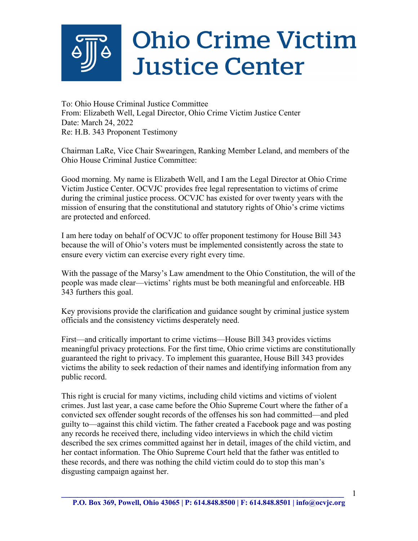## **Ohio Crime Victim Justice Center**

To: Ohio House Criminal Justice Committee From: Elizabeth Well, Legal Director, Ohio Crime Victim Justice Center Date: March 24, 2022 Re: H.B. 343 Proponent Testimony

Chairman LaRe, Vice Chair Swearingen, Ranking Member Leland, and members of the Ohio House Criminal Justice Committee:

Good morning. My name is Elizabeth Well, and I am the Legal Director at Ohio Crime Victim Justice Center. OCVJC provides free legal representation to victims of crime during the criminal justice process. OCVJC has existed for over twenty years with the mission of ensuring that the constitutional and statutory rights of Ohio's crime victims are protected and enforced.

I am here today on behalf of OCVJC to offer proponent testimony for House Bill 343 because the will of Ohio's voters must be implemented consistently across the state to ensure every victim can exercise every right every time.

With the passage of the Marsy's Law amendment to the Ohio Constitution, the will of the people was made clear—victims' rights must be both meaningful and enforceable. HB 343 furthers this goal.

Key provisions provide the clarification and guidance sought by criminal justice system officials and the consistency victims desperately need.

First—and critically important to crime victims—House Bill 343 provides victims meaningful privacy protections. For the first time, Ohio crime victims are constitutionally guaranteed the right to privacy. To implement this guarantee, House Bill 343 provides victims the ability to seek redaction of their names and identifying information from any public record.

This right is crucial for many victims, including child victims and victims of violent crimes. Just last year, a case came before the Ohio Supreme Court where the father of a convicted sex offender sought records of the offenses his son had committed—and pled guilty to—against this child victim. The father created a Facebook page and was posting any records he received there, including video interviews in which the child victim described the sex crimes committed against her in detail, images of the child victim, and her contact information. The Ohio Supreme Court held that the father was entitled to these records, and there was nothing the child victim could do to stop this man's disgusting campaign against her.

**\_\_\_\_\_\_\_\_\_\_\_\_\_\_\_\_\_\_\_\_\_\_\_\_\_\_\_\_\_\_\_\_\_\_\_\_\_\_\_\_\_\_\_\_\_\_\_\_\_\_\_\_\_\_\_\_\_\_\_\_\_\_\_\_\_\_\_\_\_** 

1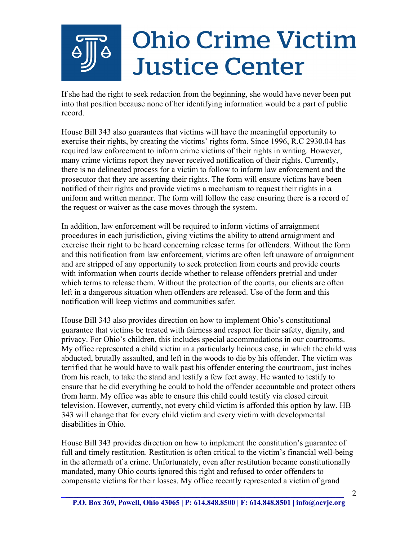## **Ohio Crime Victim Justice Center**

If she had the right to seek redaction from the beginning, she would have never been put into that position because none of her identifying information would be a part of public record.

House Bill 343 also guarantees that victims will have the meaningful opportunity to exercise their rights, by creating the victims' rights form. Since 1996, R.C 2930.04 has required law enforcement to inform crime victims of their rights in writing. However, many crime victims report they never received notification of their rights. Currently, there is no delineated process for a victim to follow to inform law enforcement and the prosecutor that they are asserting their rights. The form will ensure victims have been notified of their rights and provide victims a mechanism to request their rights in a uniform and written manner. The form will follow the case ensuring there is a record of the request or waiver as the case moves through the system.

In addition, law enforcement will be required to inform victims of arraignment procedures in each jurisdiction, giving victims the ability to attend arraignment and exercise their right to be heard concerning release terms for offenders. Without the form and this notification from law enforcement, victims are often left unaware of arraignment and are stripped of any opportunity to seek protection from courts and provide courts with information when courts decide whether to release offenders pretrial and under which terms to release them. Without the protection of the courts, our clients are often left in a dangerous situation when offenders are released. Use of the form and this notification will keep victims and communities safer.

House Bill 343 also provides direction on how to implement Ohio's constitutional guarantee that victims be treated with fairness and respect for their safety, dignity, and privacy. For Ohio's children, this includes special accommodations in our courtrooms. My office represented a child victim in a particularly heinous case, in which the child was abducted, brutally assaulted, and left in the woods to die by his offender. The victim was terrified that he would have to walk past his offender entering the courtroom, just inches from his reach, to take the stand and testify a few feet away. He wanted to testify to ensure that he did everything he could to hold the offender accountable and protect others from harm. My office was able to ensure this child could testify via closed circuit television. However, currently, not every child victim is afforded this option by law. HB 343 will change that for every child victim and every victim with developmental disabilities in Ohio.

House Bill 343 provides direction on how to implement the constitution's guarantee of full and timely restitution. Restitution is often critical to the victim's financial well-being in the aftermath of a crime. Unfortunately, even after restitution became constitutionally mandated, many Ohio courts ignored this right and refused to order offenders to compensate victims for their losses. My office recently represented a victim of grand

2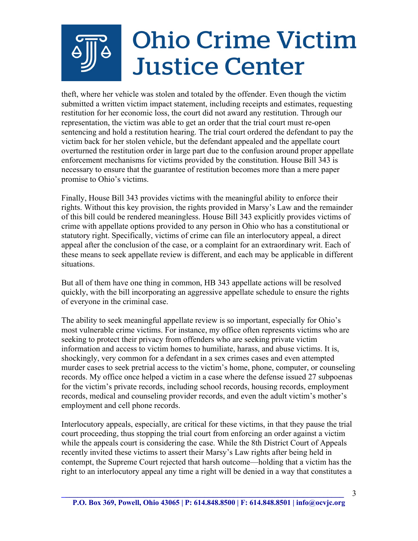## **Ohio Crime Victim Justice Center**

theft, where her vehicle was stolen and totaled by the offender. Even though the victim submitted a written victim impact statement, including receipts and estimates, requesting restitution for her economic loss, the court did not award any restitution. Through our representation, the victim was able to get an order that the trial court must re-open sentencing and hold a restitution hearing. The trial court ordered the defendant to pay the victim back for her stolen vehicle, but the defendant appealed and the appellate court overturned the restitution order in large part due to the confusion around proper appellate enforcement mechanisms for victims provided by the constitution. House Bill 343 is necessary to ensure that the guarantee of restitution becomes more than a mere paper promise to Ohio's victims.

Finally, House Bill 343 provides victims with the meaningful ability to enforce their rights. Without this key provision, the rights provided in Marsy's Law and the remainder of this bill could be rendered meaningless. House Bill 343 explicitly provides victims of crime with appellate options provided to any person in Ohio who has a constitutional or statutory right. Specifically, victims of crime can file an interlocutory appeal, a direct appeal after the conclusion of the case, or a complaint for an extraordinary writ. Each of these means to seek appellate review is different, and each may be applicable in different situations.

But all of them have one thing in common, HB 343 appellate actions will be resolved quickly, with the bill incorporating an aggressive appellate schedule to ensure the rights of everyone in the criminal case.

The ability to seek meaningful appellate review is so important, especially for Ohio's most vulnerable crime victims. For instance, my office often represents victims who are seeking to protect their privacy from offenders who are seeking private victim information and access to victim homes to humiliate, harass, and abuse victims. It is, shockingly, very common for a defendant in a sex crimes cases and even attempted murder cases to seek pretrial access to the victim's home, phone, computer, or counseling records. My office once helped a victim in a case where the defense issued 27 subpoenas for the victim's private records, including school records, housing records, employment records, medical and counseling provider records, and even the adult victim's mother's employment and cell phone records.

Interlocutory appeals, especially, are critical for these victims, in that they pause the trial court proceeding, thus stopping the trial court from enforcing an order against a victim while the appeals court is considering the case. While the 8th District Court of Appeals recently invited these victims to assert their Marsy's Law rights after being held in contempt, the Supreme Court rejected that harsh outcome—holding that a victim has the right to an interlocutory appeal any time a right will be denied in a way that constitutes a

3